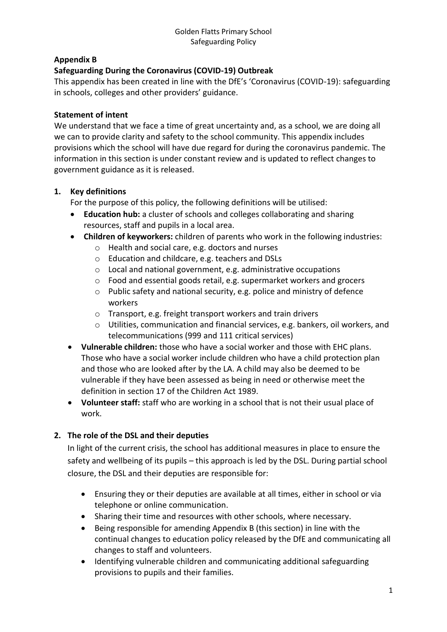# **Appendix B**

# **Safeguarding During the Coronavirus (COVID-19) Outbreak**

This appendix has been created in line with the DfE's 'Coronavirus (COVID-19): safeguarding in schools, colleges and other providers' guidance.

#### **Statement of intent**

We understand that we face a time of great uncertainty and, as a school, we are doing all we can to provide clarity and safety to the school community. This appendix includes provisions which the school will have due regard for during the coronavirus pandemic. The information in this section is under constant review and is updated to reflect changes to government guidance as it is released.

#### **1. Key definitions**

For the purpose of this policy, the following definitions will be utilised:

- **Education hub:** a cluster of schools and colleges collaborating and sharing resources, staff and pupils in a local area.
- **Children of keyworkers:** children of parents who work in the following industries:
	- o Health and social care, e.g. doctors and nurses
	- o Education and childcare, e.g. teachers and DSLs
	- o Local and national government, e.g. administrative occupations
	- o Food and essential goods retail, e.g. supermarket workers and grocers
	- o Public safety and national security, e.g. police and ministry of defence workers
	- o Transport, e.g. freight transport workers and train drivers
	- $\circ$  Utilities, communication and financial services, e.g. bankers, oil workers, and telecommunications (999 and 111 critical services)
- **Vulnerable children:** those who have a social worker and those with EHC plans. Those who have a social worker include children who have a child protection plan and those who are looked after by the LA. A child may also be deemed to be vulnerable if they have been assessed as being in need or otherwise meet the definition in section 17 of the Children Act 1989.
- Volunteer staff: staff who are working in a school that is not their usual place of work.

# **2. The role of the DSL and their deputies**

In light of the current crisis, the school has additional measures in place to ensure the safety and wellbeing of its pupils – this approach is led by the DSL. During partial school closure, the DSL and their deputies are responsible for:

- Ensuring they or their deputies are available at all times, either in school or via telephone or online communication.
- Sharing their time and resources with other schools, where necessary.
- Being responsible for amending Appendix B (this section) in line with the continual changes to education policy released by the DfE and communicating all changes to staff and volunteers.
- Identifying vulnerable children and communicating additional safeguarding provisions to pupils and their families.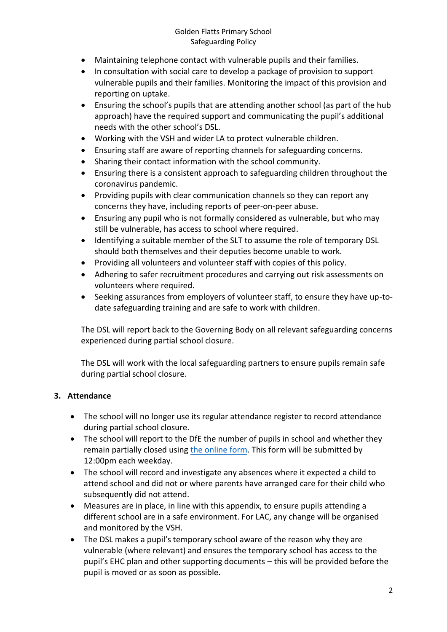#### Golden Flatts Primary School Safeguarding Policy

- Maintaining telephone contact with vulnerable pupils and their families.
- In consultation with social care to develop a package of provision to support vulnerable pupils and their families. Monitoring the impact of this provision and reporting on uptake.
- Ensuring the school's pupils that are attending another school (as part of the hub approach) have the required support and communicating the pupil's additional needs with the other school's DSL.
- Working with the VSH and wider LA to protect vulnerable children.
- Ensuring staff are aware of reporting channels for safeguarding concerns.
- Sharing their contact information with the school community.
- Ensuring there is a consistent approach to safeguarding children throughout the coronavirus pandemic.
- Providing pupils with clear communication channels so they can report any concerns they have, including reports of peer-on-peer abuse.
- Ensuring any pupil who is not formally considered as vulnerable, but who may still be vulnerable, has access to school where required.
- Identifying a suitable member of the SLT to assume the role of temporary DSL should both themselves and their deputies become unable to work.
- Providing all volunteers and volunteer staff with copies of this policy.
- Adhering to safer recruitment procedures and carrying out risk assessments on volunteers where required.
- Seeking assurances from employers of volunteer staff, to ensure they have up-todate safeguarding training and are safe to work with children.

The DSL will report back to the Governing Body on all relevant safeguarding concerns experienced during partial school closure.

The DSL will work with the local safeguarding partners to ensure pupils remain safe during partial school closure.

# **3. Attendance**

- The school will no longer use its regular attendance register to record attendance during partial school closure.
- The school will report to the DfE the number of pupils in school and whether they remain partially closed using [the online form.](https://form.education.gov.uk/service/educational-setting-status) This form will be submitted by 12:00pm each weekday.
- The school will record and investigate any absences where it expected a child to attend school and did not or where parents have arranged care for their child who subsequently did not attend.
- Measures are in place, in line with this appendix, to ensure pupils attending a different school are in a safe environment. For LAC, any change will be organised and monitored by the VSH.
- The DSL makes a pupil's temporary school aware of the reason why they are vulnerable (where relevant) and ensures the temporary school has access to the pupil's EHC plan and other supporting documents – this will be provided before the pupil is moved or as soon as possible.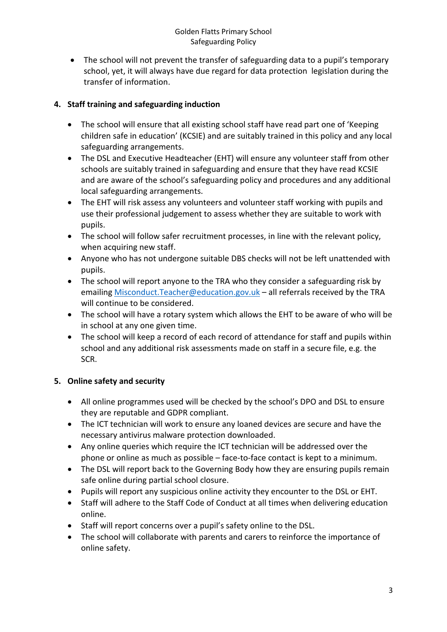• The school will not prevent the transfer of safeguarding data to a pupil's temporary school, yet, it will always have due regard for data protection legislation during the transfer of information.

# **4. Staff training and safeguarding induction**

- The school will ensure that all existing school staff have read part one of 'Keeping children safe in education' (KCSIE) and are suitably trained in this policy and any local safeguarding arrangements.
- The DSL and Executive Headteacher (EHT) will ensure any volunteer staff from other schools are suitably trained in safeguarding and ensure that they have read KCSIE and are aware of the school's safeguarding policy and procedures and any additional local safeguarding arrangements.
- The EHT will risk assess any volunteers and volunteer staff working with pupils and use their professional judgement to assess whether they are suitable to work with pupils.
- The school will follow safer recruitment processes, in line with the relevant policy, when acquiring new staff.
- Anyone who has not undergone suitable DBS checks will not be left unattended with pupils.
- The school will report anyone to the TRA who they consider a safeguarding risk by emailing [Misconduct.Teacher@education.gov.uk](mailto:Misconduct.Teacher@education.gov.uk) – all referrals received by the TRA will continue to be considered.
- The school will have a rotary system which allows the EHT to be aware of who will be in school at any one given time.
- The school will keep a record of each record of attendance for staff and pupils within school and any additional risk assessments made on staff in a secure file, e.g. the SCR.

# **5. Online safety and security**

- All online programmes used will be checked by the school's DPO and DSL to ensure they are reputable and GDPR compliant.
- The ICT technician will work to ensure any loaned devices are secure and have the necessary antivirus malware protection downloaded.
- Any online queries which require the ICT technician will be addressed over the phone or online as much as possible – face-to-face contact is kept to a minimum.
- The DSL will report back to the Governing Body how they are ensuring pupils remain safe online during partial school closure.
- Pupils will report any suspicious online activity they encounter to the DSL or EHT.
- Staff will adhere to the Staff Code of Conduct at all times when delivering education online.
- Staff will report concerns over a pupil's safety online to the DSL.
- The school will collaborate with parents and carers to reinforce the importance of online safety.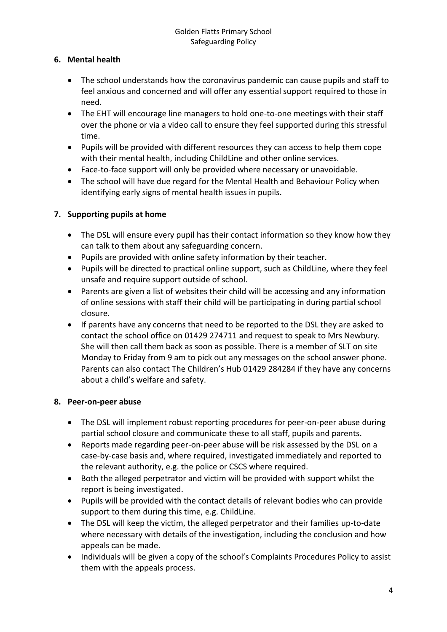# **6. Mental health**

- The school understands how the coronavirus pandemic can cause pupils and staff to feel anxious and concerned and will offer any essential support required to those in need.
- The EHT will encourage line managers to hold one-to-one meetings with their staff over the phone or via a video call to ensure they feel supported during this stressful time.
- Pupils will be provided with different resources they can access to help them cope with their mental health, including ChildLine and other online services.
- Face-to-face support will only be provided where necessary or unavoidable.
- The school will have due regard for the Mental Health and Behaviour Policy when identifying early signs of mental health issues in pupils.

# **7. Supporting pupils at home**

- The DSL will ensure every pupil has their contact information so they know how they can talk to them about any safeguarding concern.
- Pupils are provided with online safety information by their teacher.
- Pupils will be directed to practical online support, such as ChildLine, where they feel unsafe and require support outside of school.
- Parents are given a list of websites their child will be accessing and any information of online sessions with staff their child will be participating in during partial school closure.
- If parents have any concerns that need to be reported to the DSL they are asked to contact the school office on 01429 274711 and request to speak to Mrs Newbury. She will then call them back as soon as possible. There is a member of SLT on site Monday to Friday from 9 am to pick out any messages on the school answer phone. Parents can also contact The Children's Hub 01429 284284 if they have any concerns about a child's welfare and safety.

#### **8. Peer-on-peer abuse**

- The DSL will implement robust reporting procedures for peer-on-peer abuse during partial school closure and communicate these to all staff, pupils and parents.
- Reports made regarding peer-on-peer abuse will be risk assessed by the DSL on a case-by-case basis and, where required, investigated immediately and reported to the relevant authority, e.g. the police or CSCS where required.
- Both the alleged perpetrator and victim will be provided with support whilst the report is being investigated.
- Pupils will be provided with the contact details of relevant bodies who can provide support to them during this time, e.g. ChildLine.
- The DSL will keep the victim, the alleged perpetrator and their families up-to-date where necessary with details of the investigation, including the conclusion and how appeals can be made.
- Individuals will be given a copy of the school's Complaints Procedures Policy to assist them with the appeals process.